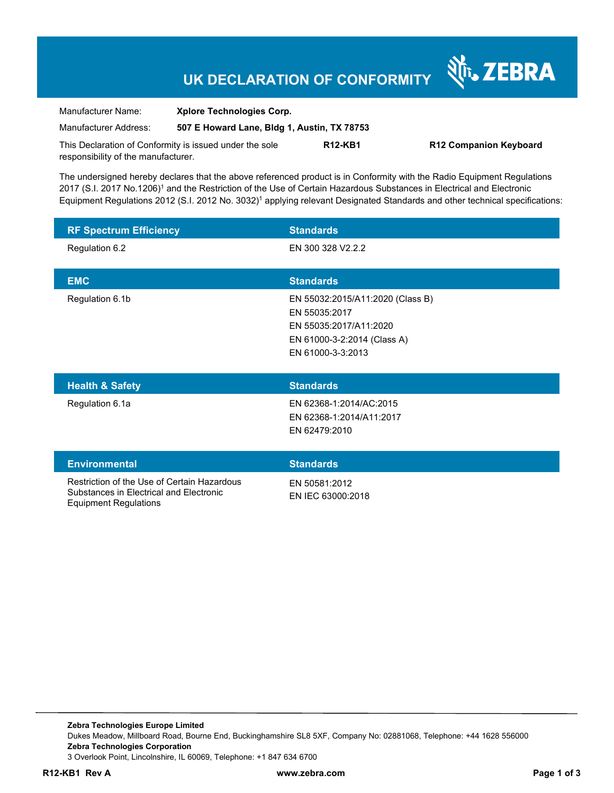# **UK DECLARATION OF CONFORMITY**

Nr. ZEBRA

| Manufacturer Name:                                      | <b>Xplore Technologies Corp.</b>            |                |                               |
|---------------------------------------------------------|---------------------------------------------|----------------|-------------------------------|
| Manufacturer Address:                                   | 507 E Howard Lane, Bldg 1, Austin, TX 78753 |                |                               |
| This Declaration of Conformity is issued under the sole |                                             | <b>R12-KB1</b> | <b>R12 Companion Keyboard</b> |
| responsibility of the manufacturer.                     |                                             |                |                               |

The undersigned hereby declares that the above referenced product is in Conformity with the Radio Equipment Regulations 2017 (S.I. 2017 No.1206)<sup>1</sup> and the Restriction of the Use of Certain Hazardous Substances in Electrical and Electronic Equipment Regulations 2012 (S.I. 2012 No. 3032)<sup>1</sup> applying relevant Designated Standards and other technical specifications:

| <b>RF Spectrum Efficiency</b>                                                          | <b>Standards</b>                                                                                                                |
|----------------------------------------------------------------------------------------|---------------------------------------------------------------------------------------------------------------------------------|
| Regulation 6.2                                                                         | EN 300 328 V2.2.2                                                                                                               |
| <b>EMC</b>                                                                             | <b>Standards</b>                                                                                                                |
| Regulation 6.1b                                                                        | EN 55032:2015/A11:2020 (Class B)<br>EN 55035:2017<br>EN 55035:2017/A11:2020<br>EN 61000-3-2:2014 (Class A)<br>EN 61000-3-3:2013 |
| <b>Health &amp; Safety</b>                                                             | <b>Standards</b>                                                                                                                |
| Regulation 6.1a                                                                        | EN 62368-1:2014/AC:2015<br>EN 62368-1:2014/A11:2017<br>EN 62479:2010                                                            |
| <b>Environmental</b>                                                                   | <b>Standards</b>                                                                                                                |
| Restriction of the Use of Certain Hazardous<br>Substances in Electrical and Electronic | EN 50581:2012<br>EN IEC 63000:2018                                                                                              |

**Zebra Technologies Europe Limited**  Dukes Meadow, Millboard Road, Bourne End, Buckinghamshire SL8 5XF, Company No: 02881068, Telephone: +44 1628 556000 **Zebra Technologies Corporation**  3 Overlook Point, Lincolnshire, IL 60069, Telephone: +1 847 634 6700

Equipment Regulations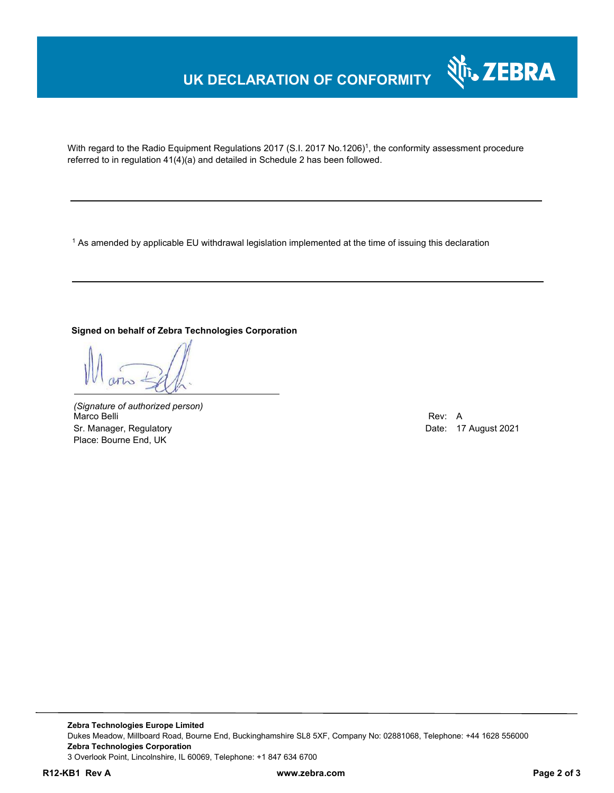## **UK DECLARATION OF CONFORMITY**



With regard to the Radio Equipment Regulations 2017 (S.I. 2017 No.1206)<sup>1</sup>, the conformity assessment procedure referred to in regulation 41(4)(a) and detailed in Schedule 2 has been followed.

 $^{\rm 1}$  As amended by applicable EU withdrawal legislation implemented at the time of issuing this declaration

#### **Signed on behalf of Zebra Technologies Corporation**

*(Signature of authorized person)* Marco Belli Rev: A Sr. Manager, Regulatory **Date: 17 August 2021** Place: Bourne End, UK